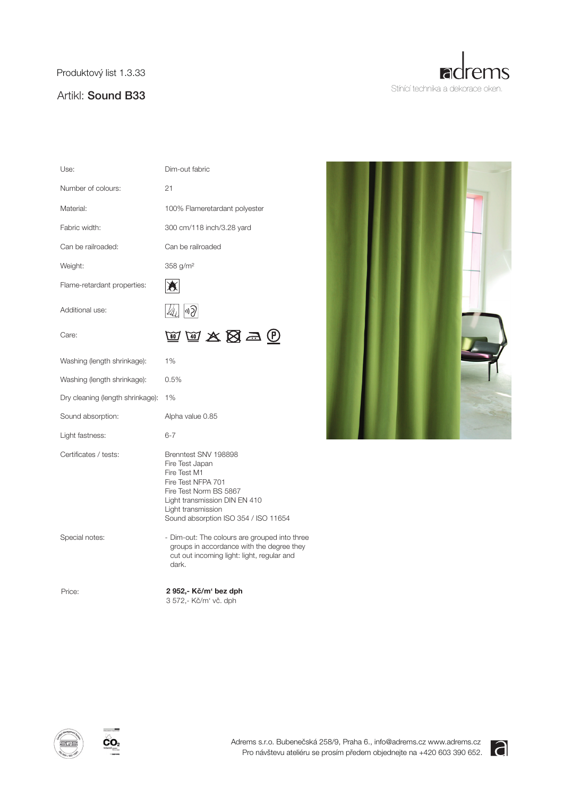Produktový list 1.3.33

## Artikl: Sound B33



| Use:                             | Dim-out fabric                                                                                                                                                                                         |
|----------------------------------|--------------------------------------------------------------------------------------------------------------------------------------------------------------------------------------------------------|
| Number of colours:               | 21                                                                                                                                                                                                     |
| Material:                        | 100% Flameretardant polyester                                                                                                                                                                          |
| Fabric width:                    | 300 cm/118 inch/3.28 yard                                                                                                                                                                              |
| Can be railroaded:               | Can be railroaded                                                                                                                                                                                      |
| Weight:                          | 358 g/m <sup>2</sup>                                                                                                                                                                                   |
| Flame-retardant properties:      |                                                                                                                                                                                                        |
| Additional use:                  | 4) P                                                                                                                                                                                                   |
| Care:                            | 网网友图写的                                                                                                                                                                                                 |
| Washing (length shrinkage):      | 1%                                                                                                                                                                                                     |
| Washing (length shrinkage):      | 0.5%                                                                                                                                                                                                   |
| Dry cleaning (length shrinkage): | 1%                                                                                                                                                                                                     |
| Sound absorption:                | Alpha value 0.85                                                                                                                                                                                       |
| Light fastness:                  | $6 - 7$                                                                                                                                                                                                |
| Certificates / tests:            | Brenntest SNV 198898<br>Fire Test Japan<br>Fire Test M1<br>Fire Test NFPA 701<br>Fire Test Norm BS 5867<br>Light transmission DIN EN 410<br>Light transmission<br>Sound absorption ISO 354 / ISO 11654 |
| Special notes:                   | - Dim-out: The colours are grouped into three<br>groups in accordance with the degree they<br>cut out incoming light: light, regular and<br>dark.                                                      |
| Price:                           | 2 952,- Kč/m' bez dph<br>3 572,- Kč/m' vč. dph                                                                                                                                                         |